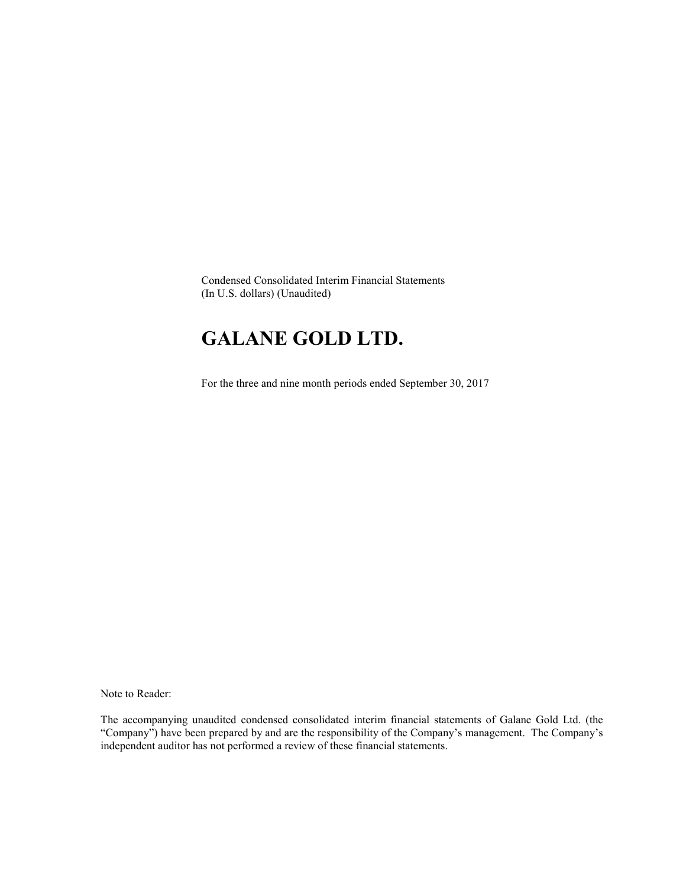Condensed Consolidated Interim Financial Statements (In U.S. dollars) (Unaudited)

# GALANE GOLD LTD.

For the three and nine month periods ended September 30, 2017

Note to Reader:

The accompanying unaudited condensed consolidated interim financial statements of Galane Gold Ltd. (the "Company") have been prepared by and are the responsibility of the Company's management. The Company's independent auditor has not performed a review of these financial statements.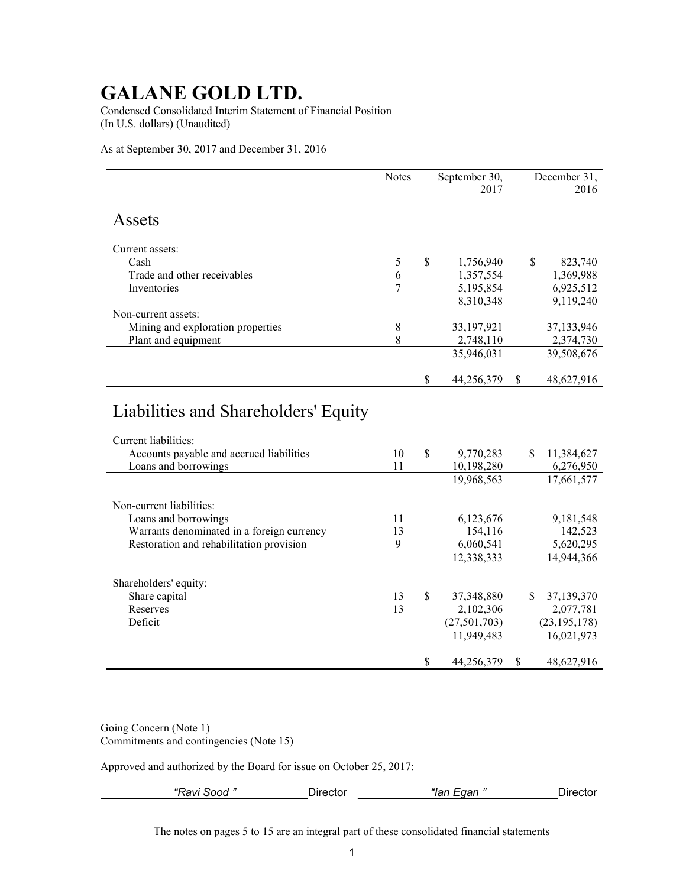Condensed Consolidated Interim Statement of Financial Position (In U.S. dollars) (Unaudited)

As at September 30, 2017 and December 31, 2016

|                                                                                                                                  | Notes    | September 30,<br>2017         |              | December 31,<br>2016    |
|----------------------------------------------------------------------------------------------------------------------------------|----------|-------------------------------|--------------|-------------------------|
| Assets                                                                                                                           |          |                               |              |                         |
| Current assets:                                                                                                                  |          |                               |              |                         |
| Cash                                                                                                                             | 5        | \$<br>1,756,940               | \$           | 823,740                 |
| Trade and other receivables                                                                                                      | 6        | 1,357,554                     |              | 1,369,988               |
| Inventories                                                                                                                      | 7        | 5,195,854                     |              | 6,925,512               |
|                                                                                                                                  |          | 8,310,348                     |              | 9,119,240               |
| Non-current assets:                                                                                                              |          |                               |              |                         |
| Mining and exploration properties                                                                                                | $8\,$    | 33,197,921                    |              | 37,133,946              |
| Plant and equipment                                                                                                              | 8        | 2,748,110                     |              | 2,374,730               |
|                                                                                                                                  |          | 35,946,031                    |              | 39,508,676              |
|                                                                                                                                  |          | \$<br>44,256,379              | $\mathbb{S}$ | 48,627,916              |
| Liabilities and Shareholders' Equity<br>Current liabilities:<br>Accounts payable and accrued liabilities<br>Loans and borrowings | 10<br>11 | \$<br>9,770,283<br>10,198,280 | S.           | 11,384,627<br>6,276,950 |
|                                                                                                                                  |          | 19,968,563                    |              | 17,661,577              |
| Non-current liabilities:<br>Loans and borrowings                                                                                 | 11       | 6,123,676                     |              | 9,181,548               |
| Warrants denominated in a foreign currency                                                                                       | 13       | 154,116                       |              | 142,523                 |
| Restoration and rehabilitation provision                                                                                         | 9        | 6,060,541                     |              | 5,620,295               |
|                                                                                                                                  |          | 12,338,333                    |              | 14,944,366              |
| Shareholders' equity:                                                                                                            |          |                               |              |                         |
| Share capital                                                                                                                    | 13       | \$<br>37,348,880              | \$           | 37,139,370              |
| Reserves                                                                                                                         | 13       | 2,102,306                     |              | 2,077,781               |
| Deficit                                                                                                                          |          | (27, 501, 703)                |              | (23, 195, 178)          |
|                                                                                                                                  |          | 11,949,483                    |              | 16,021,973              |
|                                                                                                                                  |          | \$<br>44,256,379              | \$           | 48,627,916              |

Going Concern (Note 1) Commitments and contingencies (Note 15)

Approved and authorized by the Board for issue on October 25, 2017:

| $  -$<br>______ | ----<br>---- | <br>)ır |
|-----------------|--------------|---------|
|                 |              |         |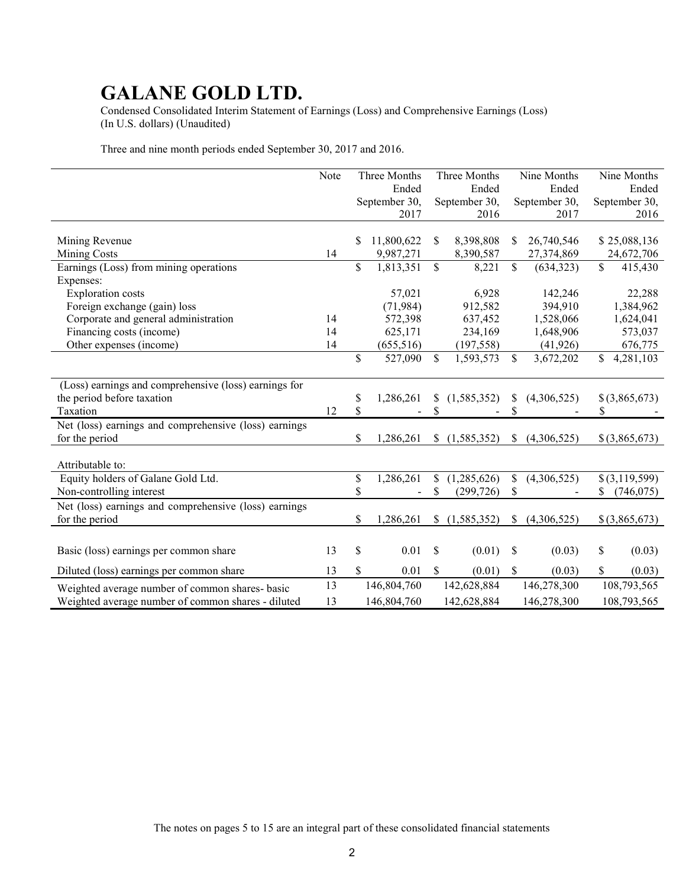Condensed Consolidated Interim Statement of Earnings (Loss) and Comprehensive Earnings (Loss) (In U.S. dollars) (Unaudited)

Three and nine month periods ended September 30, 2017 and 2016.

|                                                       | Note |    | Three Months  |               | Three Months  |               | Nine Months   |    | Nine Months     |
|-------------------------------------------------------|------|----|---------------|---------------|---------------|---------------|---------------|----|-----------------|
|                                                       |      |    | Ended         |               | Ended         |               | Ended         |    | Ended           |
|                                                       |      |    | September 30, |               | September 30, |               | September 30, |    | September 30,   |
|                                                       |      |    | 2017          |               | 2016          |               | 2017          |    | 2016            |
|                                                       |      |    |               |               |               |               |               |    |                 |
| Mining Revenue                                        |      | S  | 11,800,622    | <sup>\$</sup> | 8,398,808     | S             | 26,740,546    |    | \$25,088,136    |
| <b>Mining Costs</b>                                   | 14   |    | 9,987,271     |               | 8,390,587     |               | 27,374,869    |    | 24,672,706      |
| Earnings (Loss) from mining operations                |      | \$ | 1,813,351     | \$            | 8,221         | \$            | (634, 323)    | \$ | 415,430         |
| Expenses:                                             |      |    |               |               |               |               |               |    |                 |
| <b>Exploration</b> costs                              |      |    | 57,021        |               | 6,928         |               | 142,246       |    | 22,288          |
| Foreign exchange (gain) loss                          |      |    | (71, 984)     |               | 912,582       |               | 394,910       |    | 1,384,962       |
| Corporate and general administration                  | 14   |    | 572,398       |               | 637,452       |               | 1,528,066     |    | 1,624,041       |
| Financing costs (income)                              | 14   |    | 625,171       |               | 234,169       |               | 1,648,906     |    | 573,037         |
| Other expenses (income)                               | 14   |    | (655, 516)    |               | (197, 558)    |               | (41, 926)     |    | 676,775         |
|                                                       |      | \$ | 527,090       | $\mathcal{S}$ | 1,593,573     | \$            | 3,672,202     | \$ | 4,281,103       |
|                                                       |      |    |               |               |               |               |               |    |                 |
| (Loss) earnings and comprehensive (loss) earnings for |      |    |               |               |               |               |               |    |                 |
| the period before taxation                            |      | \$ | 1,286,261     | S.            | (1, 585, 352) | S             | (4,306,525)   |    | $$$ (3,865,673) |
| Taxation                                              | 12   | \$ |               | \$            |               | \$            |               | \$ |                 |
| Net (loss) earnings and comprehensive (loss) earnings |      |    |               |               |               |               |               |    |                 |
| for the period                                        |      | \$ | 1,286,261     | \$            | (1, 585, 352) | \$            | (4,306,525)   |    | $$$ (3,865,673) |
|                                                       |      |    |               |               |               |               |               |    |                 |
| Attributable to:                                      |      |    |               |               |               |               |               |    |                 |
| Equity holders of Galane Gold Ltd.                    |      | \$ | 1,286,261     | \$            | (1,285,626)   | $\mathcal{S}$ | (4,306,525)   |    | \$(3,119,599)   |
| Non-controlling interest                              |      | \$ |               | \$            | (299, 726)    | \$            |               | S. | (746, 075)      |
| Net (loss) earnings and comprehensive (loss) earnings |      |    |               |               |               |               |               |    |                 |
| for the period                                        |      | \$ | 1,286,261     | \$            | (1, 585, 352) | S.            | (4,306,525)   |    | $$$ (3,865,673) |
|                                                       |      |    |               |               |               |               |               |    |                 |
|                                                       |      |    |               |               |               |               |               |    |                 |
| Basic (loss) earnings per common share                | 13   | \$ | 0.01          | \$            | (0.01)        | \$            | (0.03)        | \$ | (0.03)          |
| Diluted (loss) earnings per common share              | 13   | \$ | 0.01          | $\mathbf S$   | (0.01)        | S.            | (0.03)        | \$ | (0.03)          |
| Weighted average number of common shares- basic       | 13   |    | 146,804,760   |               | 142,628,884   |               | 146,278,300   |    | 108,793,565     |
| Weighted average number of common shares - diluted    | 13   |    | 146,804,760   |               | 142,628,884   |               | 146,278,300   |    | 108,793,565     |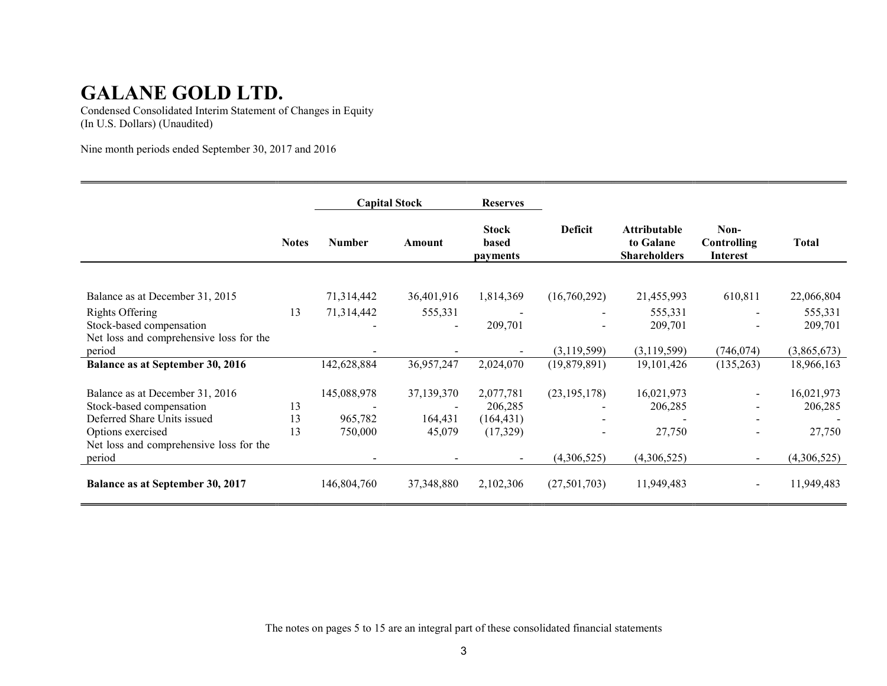Condensed Consolidated Interim Statement of Changes in Equity (In U.S. Dollars) (Unaudited)

Nine month periods ended September 30, 2017 and 2016

|                                         |              |               | <b>Capital Stock</b> | <b>Reserves</b>                          |                |                                                         |                                        |             |
|-----------------------------------------|--------------|---------------|----------------------|------------------------------------------|----------------|---------------------------------------------------------|----------------------------------------|-------------|
|                                         | <b>Notes</b> | <b>Number</b> | Amount               | <b>Stock</b><br>based<br><i>payments</i> | <b>Deficit</b> | <b>Attributable</b><br>to Galane<br><b>Shareholders</b> | Non-<br>Controlling<br><b>Interest</b> | Total       |
|                                         |              |               |                      |                                          |                |                                                         |                                        |             |
| Balance as at December 31, 2015         |              | 71,314,442    | 36,401,916           | 1,814,369                                | (16,760,292)   | 21,455,993                                              | 610,811                                | 22,066,804  |
| Rights Offering                         | 13           | 71,314,442    | 555,331              |                                          |                | 555,331                                                 |                                        | 555,331     |
| Stock-based compensation                |              |               |                      | 209,701                                  |                | 209,701                                                 |                                        | 209,701     |
| Net loss and comprehensive loss for the |              |               |                      |                                          |                |                                                         |                                        |             |
| period                                  |              |               |                      |                                          | (3,119,599)    | (3,119,599)                                             | (746, 074)                             | (3,865,673) |
| Balance as at September 30, 2016        |              | 142,628,884   | 36,957,247           | 2,024,070                                | (19,879,891)   | 19, 101, 426                                            | (135,263)                              | 18,966,163  |
| Balance as at December 31, 2016         |              | 145,088,978   | 37,139,370           | 2,077,781                                | (23, 195, 178) | 16,021,973                                              |                                        | 16,021,973  |
| Stock-based compensation                | 13           |               |                      | 206,285                                  |                | 206,285                                                 |                                        | 206,285     |
| Deferred Share Units issued             | 13           | 965,782       | 164,431              | (164, 431)                               |                |                                                         |                                        |             |
| Options exercised                       | 13           | 750,000       | 45,079               | (17, 329)                                |                | 27,750                                                  |                                        | 27,750      |
| Net loss and comprehensive loss for the |              |               |                      |                                          |                |                                                         |                                        |             |
| period                                  |              |               |                      |                                          | (4,306,525)    | (4,306,525)                                             | $\blacksquare$                         | (4,306,525) |
| Balance as at September 30, 2017        |              | 146,804,760   | 37, 348, 880         | 2,102,306                                | (27,501,703)   | 11,949,483                                              | $\blacksquare$                         | 11,949,483  |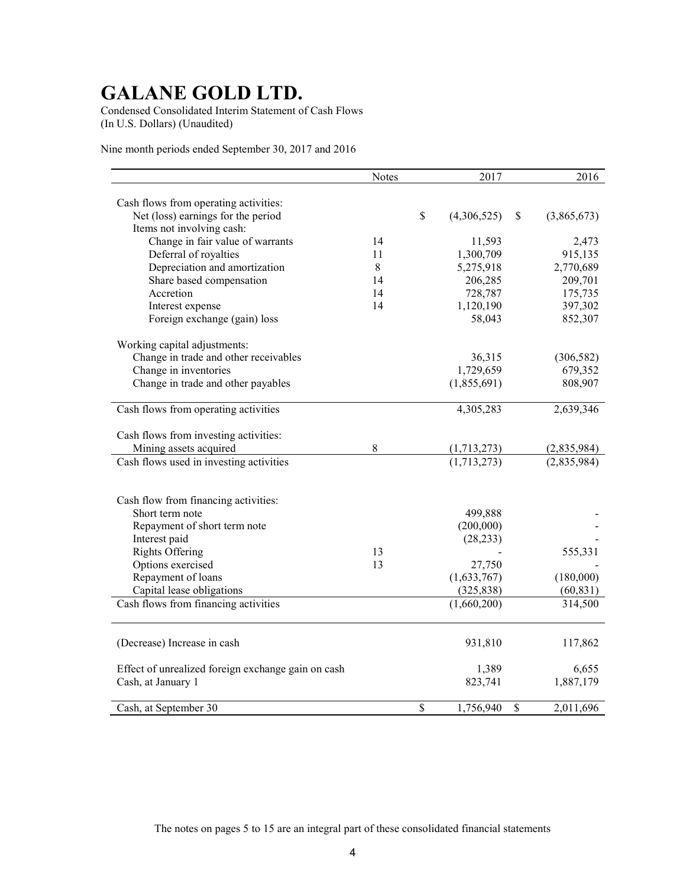Condensed Consolidated Interim Statement of Cash Flows (In U.S. Dollars) (Unaudited)

Nine month periods ended September 30, 2017 and 2016

|                                                    | <b>Notes</b> | 2017              |               | 2016        |
|----------------------------------------------------|--------------|-------------------|---------------|-------------|
|                                                    |              |                   |               |             |
| Cash flows from operating activities:              |              |                   |               |             |
| Net (loss) earnings for the period                 |              | \$<br>(4,306,525) | $\mathcal{S}$ | (3,865,673) |
| Items not involving cash:                          |              |                   |               |             |
| Change in fair value of warrants                   | 14           | 11,593            |               | 2,473       |
| Deferral of royalties                              | 11           | 1,300,709         |               | 915,135     |
| Depreciation and amortization                      | 8            | 5,275,918         |               | 2,770,689   |
| Share based compensation                           | 14           | 206,285           |               | 209,701     |
| Accretion                                          | 14           | 728,787           |               | 175,735     |
| Interest expense                                   | 14           | 1,120,190         |               | 397,302     |
| Foreign exchange (gain) loss                       |              | 58,043            |               | 852,307     |
| Working capital adjustments:                       |              |                   |               |             |
| Change in trade and other receivables              |              | 36,315            |               | (306, 582)  |
| Change in inventories                              |              | 1,729,659         |               | 679,352     |
| Change in trade and other payables                 |              | (1,855,691)       |               | 808,907     |
|                                                    |              |                   |               |             |
| Cash flows from operating activities               |              | 4,305,283         |               | 2,639,346   |
| Cash flows from investing activities:              |              |                   |               |             |
| Mining assets acquired                             | $\,8\,$      | (1,713,273)       |               | (2,835,984) |
| Cash flows used in investing activities            |              | (1,713,273)       |               | (2,835,984) |
|                                                    |              |                   |               |             |
| Cash flow from financing activities:               |              |                   |               |             |
| Short term note                                    |              | 499,888           |               |             |
| Repayment of short term note                       |              | (200,000)         |               |             |
| Interest paid                                      |              | (28, 233)         |               |             |
| <b>Rights Offering</b>                             | 13           |                   |               | 555,331     |
| Options exercised                                  | 13           | 27,750            |               |             |
| Repayment of loans                                 |              | (1,633,767)       |               | (180,000)   |
| Capital lease obligations                          |              | (325, 838)        |               | (60, 831)   |
| Cash flows from financing activities               |              | (1,660,200)       |               | 314,500     |
|                                                    |              |                   |               |             |
| (Decrease) Increase in cash                        |              | 931,810           |               | 117,862     |
| Effect of unrealized foreign exchange gain on cash |              | 1,389             |               | 6,655       |
| Cash, at January 1                                 |              | 823,741           |               | 1,887,179   |
| Cash, at September 30                              |              | \$<br>1,756,940   | \$            | 2,011,696   |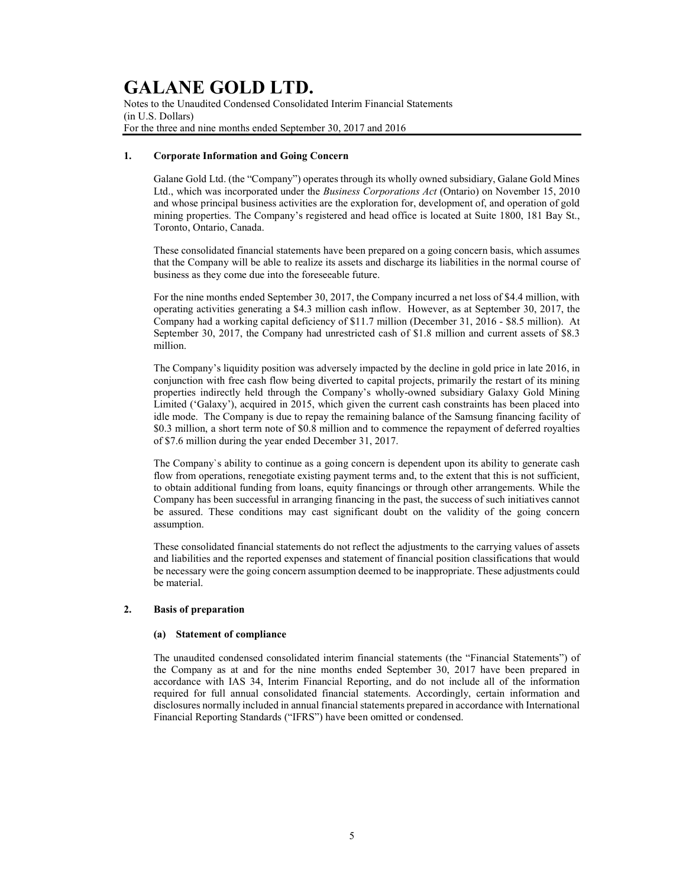Notes to the Unaudited Condensed Consolidated Interim Financial Statements (in U.S. Dollars) For the three and nine months ended September 30, 2017 and 2016

### 1. Corporate Information and Going Concern

Galane Gold Ltd. (the "Company") operates through its wholly owned subsidiary, Galane Gold Mines Ltd., which was incorporated under the Business Corporations Act (Ontario) on November 15, 2010 and whose principal business activities are the exploration for, development of, and operation of gold mining properties. The Company's registered and head office is located at Suite 1800, 181 Bay St., Toronto, Ontario, Canada.

These consolidated financial statements have been prepared on a going concern basis, which assumes that the Company will be able to realize its assets and discharge its liabilities in the normal course of business as they come due into the foreseeable future.

For the nine months ended September 30, 2017, the Company incurred a net loss of \$4.4 million, with operating activities generating a \$4.3 million cash inflow. However, as at September 30, 2017, the Company had a working capital deficiency of \$11.7 million (December 31, 2016 - \$8.5 million). At September 30, 2017, the Company had unrestricted cash of \$1.8 million and current assets of \$8.3 million.

The Company's liquidity position was adversely impacted by the decline in gold price in late 2016, in conjunction with free cash flow being diverted to capital projects, primarily the restart of its mining properties indirectly held through the Company's wholly-owned subsidiary Galaxy Gold Mining Limited ('Galaxy'), acquired in 2015, which given the current cash constraints has been placed into idle mode. The Company is due to repay the remaining balance of the Samsung financing facility of \$0.3 million, a short term note of \$0.8 million and to commence the repayment of deferred royalties of \$7.6 million during the year ended December 31, 2017.

The Company`s ability to continue as a going concern is dependent upon its ability to generate cash flow from operations, renegotiate existing payment terms and, to the extent that this is not sufficient, to obtain additional funding from loans, equity financings or through other arrangements. While the Company has been successful in arranging financing in the past, the success of such initiatives cannot be assured. These conditions may cast significant doubt on the validity of the going concern assumption.

These consolidated financial statements do not reflect the adjustments to the carrying values of assets and liabilities and the reported expenses and statement of financial position classifications that would be necessary were the going concern assumption deemed to be inappropriate. These adjustments could be material.

### 2. Basis of preparation

### (a) Statement of compliance

The unaudited condensed consolidated interim financial statements (the "Financial Statements") of the Company as at and for the nine months ended September 30, 2017 have been prepared in accordance with IAS 34, Interim Financial Reporting, and do not include all of the information required for full annual consolidated financial statements. Accordingly, certain information and disclosures normally included in annual financial statements prepared in accordance with International Financial Reporting Standards ("IFRS") have been omitted or condensed.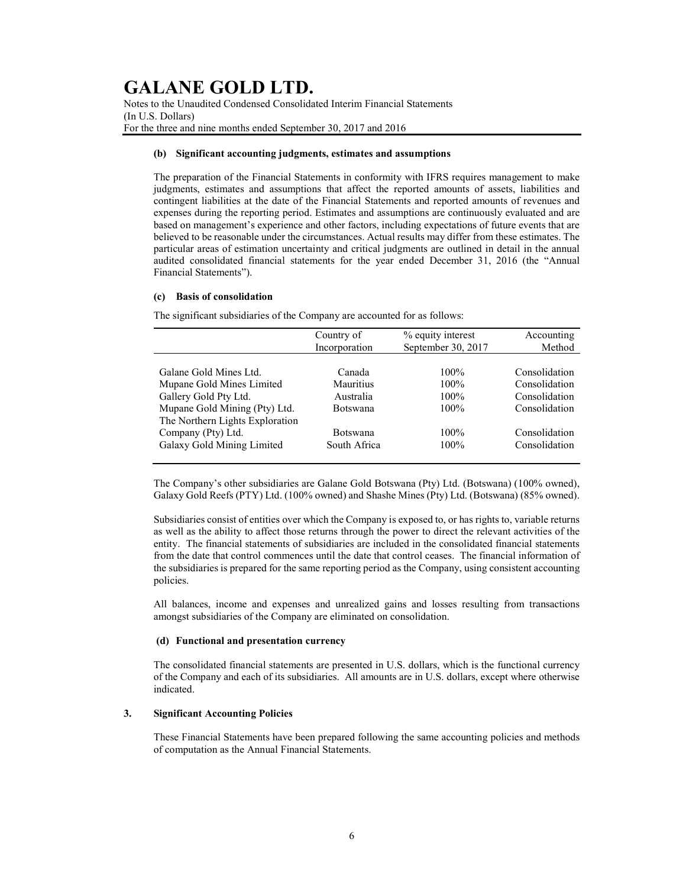Notes to the Unaudited Condensed Consolidated Interim Financial Statements (In U.S. Dollars) For the three and nine months ended September 30, 2017 and 2016

### (b) Significant accounting judgments, estimates and assumptions

The preparation of the Financial Statements in conformity with IFRS requires management to make judgments, estimates and assumptions that affect the reported amounts of assets, liabilities and contingent liabilities at the date of the Financial Statements and reported amounts of revenues and expenses during the reporting period. Estimates and assumptions are continuously evaluated and are based on management's experience and other factors, including expectations of future events that are believed to be reasonable under the circumstances. Actual results may differ from these estimates. The particular areas of estimation uncertainty and critical judgments are outlined in detail in the annual audited consolidated financial statements for the year ended December 31, 2016 (the "Annual Financial Statements").

### (c) Basis of consolidation

The significant subsidiaries of the Company are accounted for as follows:

|                                 | Country of      | % equity interest  | Accounting    |
|---------------------------------|-----------------|--------------------|---------------|
|                                 | Incorporation   | September 30, 2017 | Method        |
|                                 |                 |                    |               |
| Galane Gold Mines Ltd.          | Canada          | $100\%$            | Consolidation |
| Mupane Gold Mines Limited       | Mauritius       | $100\%$            | Consolidation |
| Gallery Gold Pty Ltd.           | Australia       | $100\%$            | Consolidation |
| Mupane Gold Mining (Pty) Ltd.   | <b>Botswana</b> | $100\%$            | Consolidation |
| The Northern Lights Exploration |                 |                    |               |
| Company (Pty) Ltd.              | <b>Botswana</b> | $100\%$            | Consolidation |
| Galaxy Gold Mining Limited      | South Africa    | $100\%$            | Consolidation |
|                                 |                 |                    |               |

The Company's other subsidiaries are Galane Gold Botswana (Pty) Ltd. (Botswana) (100% owned), Galaxy Gold Reefs (PTY) Ltd. (100% owned) and Shashe Mines (Pty) Ltd. (Botswana) (85% owned).

Subsidiaries consist of entities over which the Company is exposed to, or has rights to, variable returns as well as the ability to affect those returns through the power to direct the relevant activities of the entity. The financial statements of subsidiaries are included in the consolidated financial statements from the date that control commences until the date that control ceases. The financial information of the subsidiaries is prepared for the same reporting period as the Company, using consistent accounting policies.

All balances, income and expenses and unrealized gains and losses resulting from transactions amongst subsidiaries of the Company are eliminated on consolidation.

### (d) Functional and presentation currency

The consolidated financial statements are presented in U.S. dollars, which is the functional currency of the Company and each of its subsidiaries. All amounts are in U.S. dollars, except where otherwise indicated.

### 3. Significant Accounting Policies

These Financial Statements have been prepared following the same accounting policies and methods of computation as the Annual Financial Statements.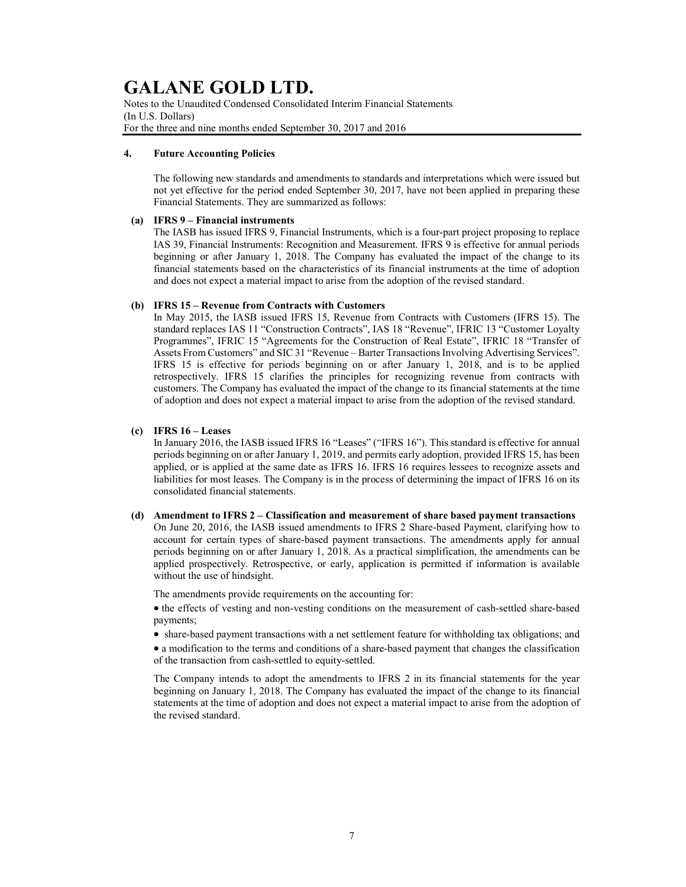Notes to the Unaudited Condensed Consolidated Interim Financial Statements (In U.S. Dollars) For the three and nine months ended September 30, 2017 and 2016

### 4. Future Accounting Policies

The following new standards and amendments to standards and interpretations which were issued but not yet effective for the period ended September 30, 2017, have not been applied in preparing these Financial Statements. They are summarized as follows:

### (a) IFRS 9 – Financial instruments

The IASB has issued IFRS 9, Financial Instruments, which is a four-part project proposing to replace IAS 39, Financial Instruments: Recognition and Measurement. IFRS 9 is effective for annual periods beginning or after January 1, 2018. The Company has evaluated the impact of the change to its financial statements based on the characteristics of its financial instruments at the time of adoption and does not expect a material impact to arise from the adoption of the revised standard.

### (b) IFRS 15 – Revenue from Contracts with Customers

In May 2015, the IASB issued IFRS 15, Revenue from Contracts with Customers (IFRS 15). The standard replaces IAS 11 "Construction Contracts", IAS 18 "Revenue", IFRIC 13 "Customer Loyalty Programmes", IFRIC 15 "Agreements for the Construction of Real Estate", IFRIC 18 "Transfer of Assets From Customers" and SIC 31 "Revenue – Barter Transactions Involving Advertising Services". IFRS 15 is effective for periods beginning on or after January 1, 2018, and is to be applied retrospectively. IFRS 15 clarifies the principles for recognizing revenue from contracts with customers. The Company has evaluated the impact of the change to its financial statements at the time of adoption and does not expect a material impact to arise from the adoption of the revised standard.

### (c) IFRS 16 – Leases

In January 2016, the IASB issued IFRS 16 "Leases" ("IFRS 16"). This standard is effective for annual periods beginning on or after January 1, 2019, and permits early adoption, provided IFRS 15, has been applied, or is applied at the same date as IFRS 16. IFRS 16 requires lessees to recognize assets and liabilities for most leases. The Company is in the process of determining the impact of IFRS 16 on its consolidated financial statements.

(d) Amendment to IFRS 2 – Classification and measurement of share based payment transactions On June 20, 2016, the IASB issued amendments to IFRS 2 Share-based Payment, clarifying how to account for certain types of share-based payment transactions. The amendments apply for annual periods beginning on or after January 1, 2018. As a practical simplification, the amendments can be applied prospectively. Retrospective, or early, application is permitted if information is available without the use of hindsight.

The amendments provide requirements on the accounting for:

• the effects of vesting and non-vesting conditions on the measurement of cash-settled share-based payments;

share-based payment transactions with a net settlement feature for withholding tax obligations; and

 a modification to the terms and conditions of a share-based payment that changes the classification of the transaction from cash-settled to equity-settled.

The Company intends to adopt the amendments to IFRS 2 in its financial statements for the year beginning on January 1, 2018. The Company has evaluated the impact of the change to its financial statements at the time of adoption and does not expect a material impact to arise from the adoption of the revised standard.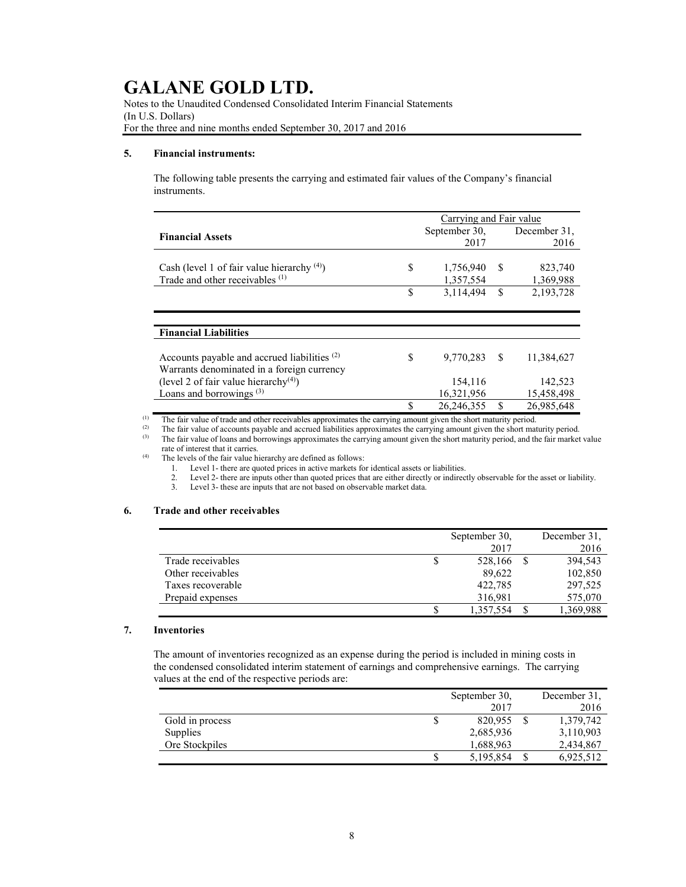Notes to the Unaudited Condensed Consolidated Interim Financial Statements (In U.S. Dollars) For the three and nine months ended September 30, 2017 and 2016

### 5. Financial instruments:

The following table presents the carrying and estimated fair values of the Company's financial instruments.

|                                                         |    | Carrying and Fair value |    |              |
|---------------------------------------------------------|----|-------------------------|----|--------------|
| <b>Financial Assets</b>                                 |    | September 30,           |    | December 31, |
|                                                         |    | 2017                    |    | 2016         |
|                                                         |    |                         |    |              |
| Cash (level 1 of fair value hierarchy $(4)$ )           | S  | 1,756,940               | -S | 823,740      |
| Trade and other receivables (1)                         |    | 1,357,554               |    | 1,369,988    |
|                                                         | \$ | 3,114,494               | \$ | 2,193,728    |
|                                                         |    |                         |    |              |
|                                                         |    |                         |    |              |
| <b>Financial Liabilities</b>                            |    |                         |    |              |
|                                                         |    |                         |    |              |
| Accounts payable and accrued liabilities <sup>(2)</sup> | S  | 9,770,283               | -S | 11,384,627   |
| Warrants denominated in a foreign currency              |    |                         |    |              |
| (level 2 of fair value hierarchy <sup>(4)</sup> )       |    | 154,116                 |    | 142,523      |
| Loans and borrowings <sup>(3)</sup>                     |    | 16,321,956              |    | 15,458,498   |
|                                                         |    | 26, 246, 355            |    | 26,985,648   |

(1) The fair value of trade and other receivables approximates the carrying amount given the short maturity period.<br>(2) The fair value of accounts payable and accrued liabilities approximates the carrying amount given the

(2) The fair value of accounts payable and accrued liabilities approximates the carrying amount given the short maturity period.<br>(3) The fair value of loans and borrowings approximates the carrying amount given the short

The fair value of loans and borrowings approximates the carrying amount given the short maturity period, and the fair market value

rate of interest that it carries.

(4) The levels of the fair value hierarchy are defined as follows:

1. Level 1- there are quoted prices in active markets for identical assets or liabilities.

2. Level 2- there are inputs other than quoted prices that are either directly or indirectly observable for the asset or liability.<br>3. Level 3- these are inputs that are not based on observable market data.

Level 3- these are inputs that are not based on observable market data.

### 6. Trade and other receivables

|                   | September 30, | December 31, |
|-------------------|---------------|--------------|
|                   | 2017          | 2016         |
| Trade receivables | 528,166       | 394,543      |
| Other receivables | 89,622        | 102,850      |
| Taxes recoverable | 422,785       | 297,525      |
| Prepaid expenses  | 316,981       | 575,070      |
|                   | 1,357,554     | 1,369,988    |

### 7. Inventories

The amount of inventories recognized as an expense during the period is included in mining costs in the condensed consolidated interim statement of earnings and comprehensive earnings. The carrying values at the end of the respective periods are:

|                 |   | September 30, | December 31,    |
|-----------------|---|---------------|-----------------|
|                 |   | 2017          | 2016            |
| Gold in process | S | 820,955       | 1,379,742       |
| Supplies        |   | 2,685,936     | 3,110,903       |
| Ore Stockpiles  |   | 1,688,963     | 2,434,867       |
|                 | S | 5,195,854     | \$<br>6,925,512 |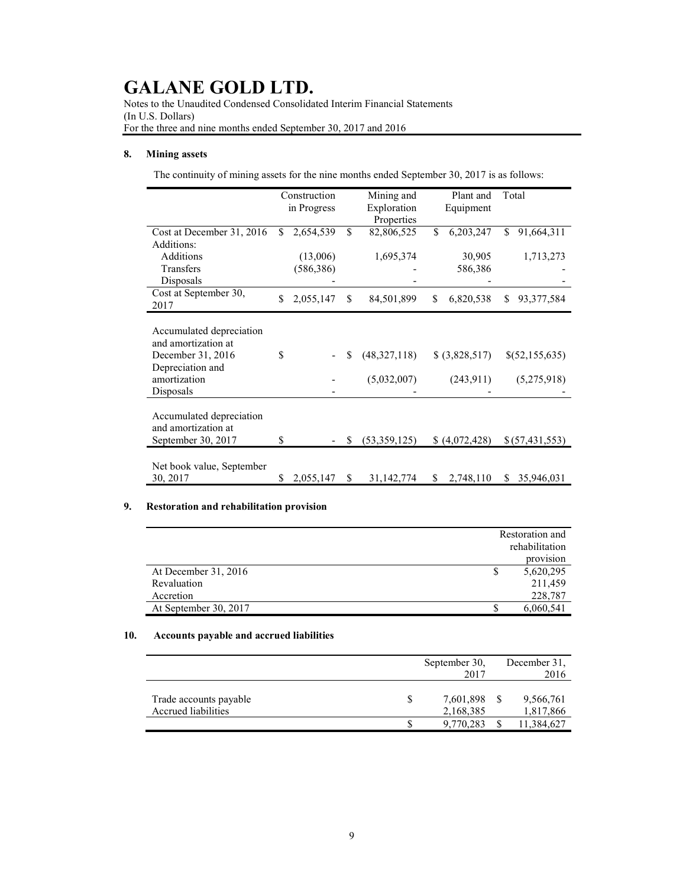Notes to the Unaudited Condensed Consolidated Interim Financial Statements (In U.S. Dollars) For the three and nine months ended September 30, 2017 and 2016

### 8. Mining assets

The continuity of mining assets for the nine months ended September 30, 2017 is as follows:

|                           |    | Construction |              | Mining and   |     | Plant and      |    | Total            |
|---------------------------|----|--------------|--------------|--------------|-----|----------------|----|------------------|
|                           |    | in Progress  |              | Exploration  |     | Equipment      |    |                  |
|                           |    |              |              | Properties   |     |                |    |                  |
| Cost at December 31, 2016 | S. | 2,654,539    | \$           | 82,806,525   | \$. | 6,203,247      | S. | 91,664,311       |
| Additions:                |    |              |              |              |     |                |    |                  |
| Additions                 |    | (13,006)     |              | 1,695,374    |     | 30,905         |    | 1,713,273        |
| Transfers                 |    | (586, 386)   |              |              |     | 586,386        |    |                  |
| Disposals                 |    |              |              |              |     |                |    |                  |
| Cost at September 30,     | \$ | 2,055,147    | $\mathbb{S}$ | 84,501,899   | \$  | 6,820,538      | S  | 93, 377, 584     |
| 2017                      |    |              |              |              |     |                |    |                  |
|                           |    |              |              |              |     |                |    |                  |
| Accumulated depreciation  |    |              |              |              |     |                |    |                  |
| and amortization at       |    |              |              |              |     |                |    |                  |
| December 31, 2016         | \$ |              | S            | (48,327,118) |     | \$ (3,828,517) |    | \$(52,155,635)   |
| Depreciation and          |    |              |              |              |     |                |    |                  |
| amortization              |    |              |              | (5,032,007)  |     | (243, 911)     |    | (5,275,918)      |
| Disposals                 |    |              |              |              |     |                |    |                  |
|                           |    |              |              |              |     |                |    |                  |
| Accumulated depreciation  |    |              |              |              |     |                |    |                  |
| and amortization at       |    |              |              |              |     |                |    |                  |
| September 30, 2017        | \$ |              | S            | (53,359,125) |     | (4,072,428)    |    | \$(57, 431, 553) |
|                           |    |              |              |              |     |                |    |                  |
| Net book value, September |    |              |              |              |     |                |    |                  |
| 30, 2017                  | \$ | 2,055,147    | \$           | 31,142,774   | \$  | 2,748,110      | S. | 35,946,031       |

### 9. Restoration and rehabilitation provision

|                       | Restoration and |
|-----------------------|-----------------|
|                       | rehabilitation  |
|                       | provision       |
| At December 31, 2016  | 5,620,295       |
| Revaluation           | 211,459         |
| Accretion             | 228,787         |
| At September 30, 2017 | 6,060,541       |

### 10. Accounts payable and accrued liabilities

|                                               | September 30,               | 2017 | December 31,<br>2016   |
|-----------------------------------------------|-----------------------------|------|------------------------|
| Trade accounts payable<br>Accrued liabilities | S<br>7,601,898<br>2,168,385 |      | 9,566,761<br>1,817,866 |
|                                               | 9.770.283                   |      | 11,384,627             |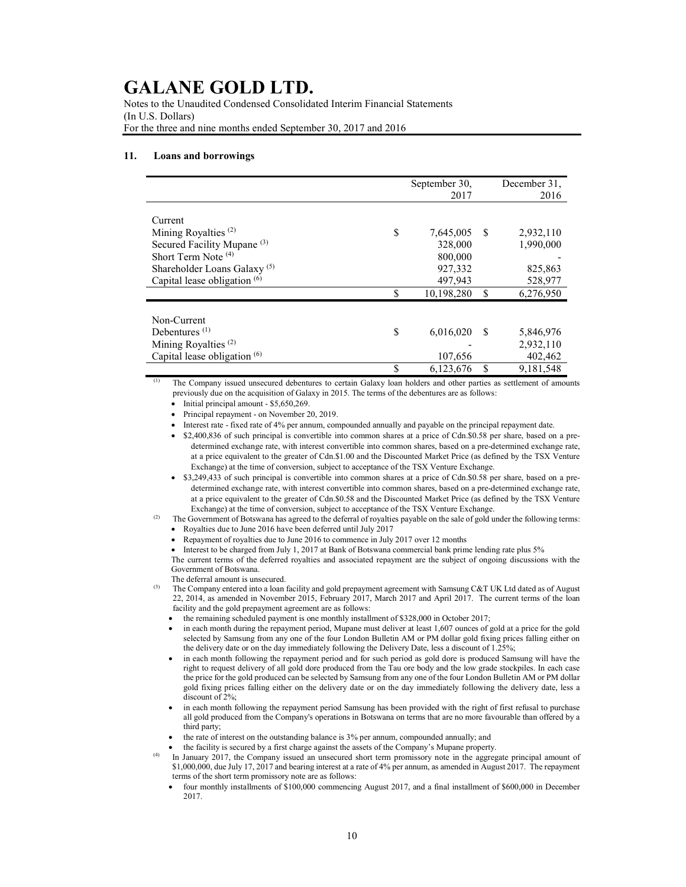Notes to the Unaudited Condensed Consolidated Interim Financial Statements (In U.S. Dollars) For the three and nine months ended September 30, 2017 and 2016

#### 11. Loans and borrowings

|                                         | September 30, |    | December 31, |
|-----------------------------------------|---------------|----|--------------|
|                                         | 2017          |    | 2016         |
|                                         |               |    |              |
| Current                                 |               |    |              |
| Mining Royalties $(2)$<br>\$            | 7,645,005     | -S | 2,932,110    |
| Secured Facility Mupane <sup>(3)</sup>  | 328,000       |    | 1,990,000    |
| Short Term Note <sup>(4)</sup>          | 800,000       |    |              |
| Shareholder Loans Galaxy <sup>(5)</sup> | 927,332       |    | 825,863      |
| Capital lease obligation <sup>(6)</sup> | 497,943       |    | 528,977      |
| \$                                      | 10,198,280    | S  | 6,276,950    |
|                                         |               |    |              |
| Non-Current                             |               |    |              |
| Debentures $(1)$<br>\$                  | 6,016,020     | -S | 5,846,976    |
| Mining Royalties <sup>(2)</sup>         |               |    | 2,932,110    |
| Capital lease obligation $(6)$          | 107,656       |    | 402,462      |
| \$                                      | 6,123,676     | \$ | 9,181,548    |

(1) The Company issued unsecured debentures to certain Galaxy loan holders and other parties as settlement of amounts previously due on the acquisition of Galaxy in 2015. The terms of the debentures are as follows:

 $\bullet$  Initial principal amount - \$5,650,269.

Principal repayment - on November 20, 2019.

Interest rate - fixed rate of 4% per annum, compounded annually and payable on the principal repayment date.

 \$2,400,836 of such principal is convertible into common shares at a price of Cdn.\$0.58 per share, based on a predetermined exchange rate, with interest convertible into common shares, based on a pre-determined exchange rate, at a price equivalent to the greater of Cdn.\$1.00 and the Discounted Market Price (as defined by the TSX Venture Exchange) at the time of conversion, subject to acceptance of the TSX Venture Exchange.

 \$3,249,433 of such principal is convertible into common shares at a price of Cdn.\$0.58 per share, based on a predetermined exchange rate, with interest convertible into common shares, based on a pre-determined exchange rate, at a price equivalent to the greater of Cdn.\$0.58 and the Discounted Market Price (as defined by the TSX Venture Exchange) at the time of conversion, subject to acceptance of the TSX Venture Exchange.

- The Government of Botswana has agreed to the deferral of royalties payable on the sale of gold under the following terms:
	- Royalties due to June 2016 have been deferred until July 2017
	- Repayment of royalties due to June 2016 to commence in July 2017 over 12 months

 Interest to be charged from July 1, 2017 at Bank of Botswana commercial bank prime lending rate plus 5% The current terms of the deferred royalties and associated repayment are the subject of ongoing discussions with the Government of Botswana.

The deferral amount is unsecured.

The Company entered into a loan facility and gold prepayment agreement with Samsung C&T UK Ltd dated as of August 22, 2014, as amended in November 2015, February 2017, March 2017 and April 2017. The current terms of the loan facility and the gold prepayment agreement are as follows:

 $\bullet$  the remaining scheduled payment is one monthly installment of \$328,000 in October 2017;

- in each month during the repayment period, Mupane must deliver at least 1,607 ounces of gold at a price for the gold selected by Samsung from any one of the four London Bulletin AM or PM dollar gold fixing prices falling either on the delivery date or on the day immediately following the Delivery Date, less a discount of 1.25%;
- in each month following the repayment period and for such period as gold dore is produced Samsung will have the right to request delivery of all gold dore produced from the Tau ore body and the low grade stockpiles. In each case the price for the gold produced can be selected by Samsung from any one of the four London Bulletin AM or PM dollar gold fixing prices falling either on the delivery date or on the day immediately following the delivery date, less a discount of 2%;
- in each month following the repayment period Samsung has been provided with the right of first refusal to purchase all gold produced from the Company's operations in Botswana on terms that are no more favourable than offered by a third party;
- the rate of interest on the outstanding balance is 3% per annum, compounded annually; and
- the facility is secured by a first charge against the assets of the Company's Mupane property.

In January 2017, the Company issued an unsecured short term promissory note in the aggregate principal amount of \$1,000,000, due July 17, 2017 and bearing interest at a rate of 4% per annum, as amended in August 2017. The repayment terms of the short term promissory note are as follows:

 four monthly installments of \$100,000 commencing August 2017, and a final installment of \$600,000 in December 2017.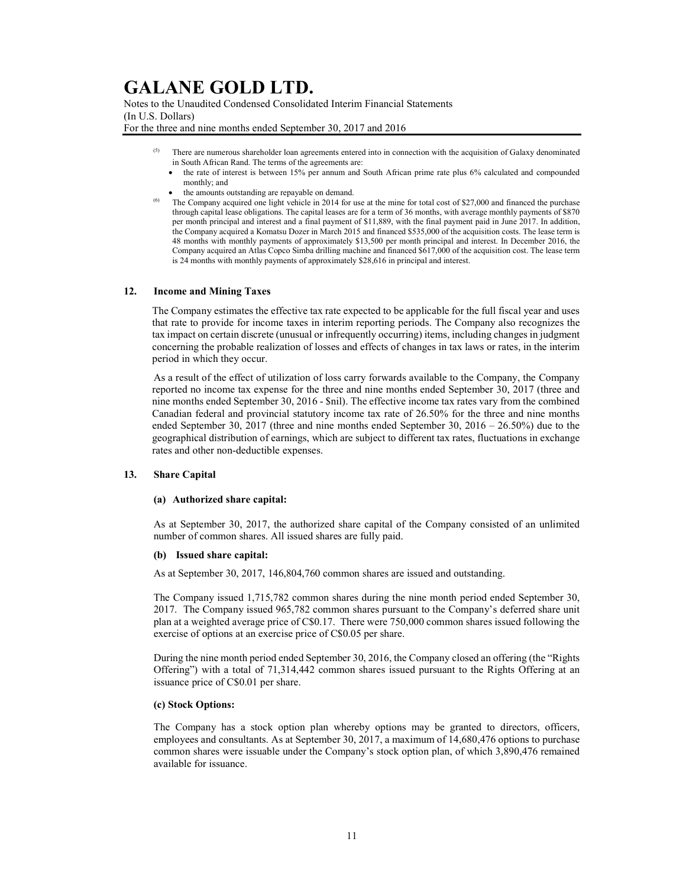Notes to the Unaudited Condensed Consolidated Interim Financial Statements (In U.S. Dollars)

For the three and nine months ended September 30, 2017 and 2016

- There are numerous shareholder loan agreements entered into in connection with the acquisition of Galaxy denominated in South African Rand. The terms of the agreements are:
	- the rate of interest is between 15% per annum and South African prime rate plus 6% calculated and compounded monthly; and
- the amounts outstanding are repayable on demand.
- (6) The Company acquired one light vehicle in 2014 for use at the mine for total cost of \$27,000 and financed the purchase through capital lease obligations. The capital leases are for a term of 36 months, with average monthly payments of \$870 per month principal and interest and a final payment of \$11,889, with the final payment paid in June 2017. In addition, the Company acquired a Komatsu Dozer in March 2015 and financed \$535,000 of the acquisition costs. The lease term is 48 months with monthly payments of approximately \$13,500 per month principal and interest. In December 2016, the Company acquired an Atlas Copco Simba drilling machine and financed \$617,000 of the acquisition cost. The lease term is 24 months with monthly payments of approximately \$28,616 in principal and interest.

### 12. Income and Mining Taxes

The Company estimates the effective tax rate expected to be applicable for the full fiscal year and uses that rate to provide for income taxes in interim reporting periods. The Company also recognizes the tax impact on certain discrete (unusual or infrequently occurring) items, including changes in judgment concerning the probable realization of losses and effects of changes in tax laws or rates, in the interim period in which they occur.

As a result of the effect of utilization of loss carry forwards available to the Company, the Company reported no income tax expense for the three and nine months ended September 30, 2017 (three and nine months ended September 30, 2016 - \$nil). The effective income tax rates vary from the combined Canadian federal and provincial statutory income tax rate of 26.50% for the three and nine months ended September 30, 2017 (three and nine months ended September 30,  $2016 - 26.50\%$ ) due to the geographical distribution of earnings, which are subject to different tax rates, fluctuations in exchange rates and other non-deductible expenses.

### 13. Share Capital

### (a) Authorized share capital:

As at September 30, 2017, the authorized share capital of the Company consisted of an unlimited number of common shares. All issued shares are fully paid.

### (b) Issued share capital:

As at September 30, 2017, 146,804,760 common shares are issued and outstanding.

The Company issued 1,715,782 common shares during the nine month period ended September 30, 2017. The Company issued 965,782 common shares pursuant to the Company's deferred share unit plan at a weighted average price of C\$0.17. There were 750,000 common shares issued following the exercise of options at an exercise price of C\$0.05 per share.

During the nine month period ended September 30, 2016, the Company closed an offering (the "Rights Offering") with a total of 71,314,442 common shares issued pursuant to the Rights Offering at an issuance price of C\$0.01 per share.

### (c) Stock Options:

The Company has a stock option plan whereby options may be granted to directors, officers, employees and consultants. As at September 30, 2017, a maximum of 14,680,476 options to purchase common shares were issuable under the Company's stock option plan, of which 3,890,476 remained available for issuance.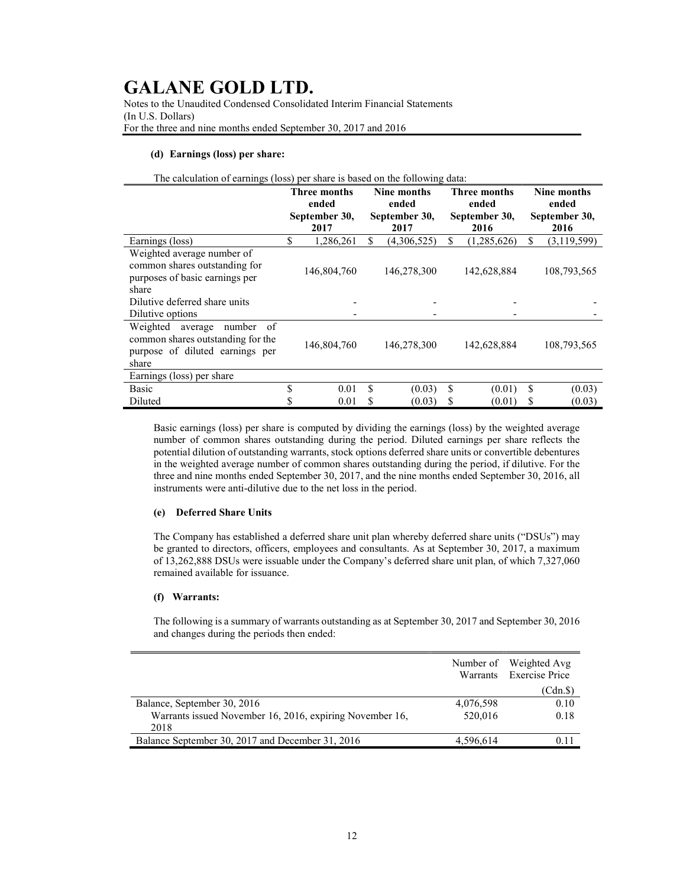Notes to the Unaudited Condensed Consolidated Interim Financial Statements (In U.S. Dollars) For the three and nine months ended September 30, 2017 and 2016

### (d) Earnings (loss) per share:

|  |  | The calculation of earnings (loss) per share is based on the following data: |  |
|--|--|------------------------------------------------------------------------------|--|
|--|--|------------------------------------------------------------------------------|--|

|                                                                                                                        | <b>Three months</b><br>ended |               | Nine months<br>ended |               | Three months<br>ended |               | Nine months<br>ended |             |
|------------------------------------------------------------------------------------------------------------------------|------------------------------|---------------|----------------------|---------------|-----------------------|---------------|----------------------|-------------|
|                                                                                                                        |                              | September 30, |                      | September 30, |                       | September 30, | September 30,        |             |
|                                                                                                                        |                              | 2017          |                      | 2017          |                       | 2016          |                      | 2016        |
| Earnings (loss)                                                                                                        | \$                           | 1,286,261     | S                    | (4,306,525)   | \$                    | (1,285,626)   | \$                   | (3,119,599) |
| Weighted average number of<br>common shares outstanding for<br>purposes of basic earnings per<br>share                 |                              | 146,804,760   |                      | 146,278,300   |                       | 142,628,884   |                      | 108,793,565 |
| Dilutive deferred share units                                                                                          |                              |               |                      |               |                       |               |                      |             |
| Dilutive options                                                                                                       |                              |               |                      |               |                       |               |                      |             |
| Weighted<br>number<br>average<br>- of<br>common shares outstanding for the<br>purpose of diluted earnings per<br>share |                              | 146,804,760   |                      | 146,278,300   |                       | 142,628,884   |                      | 108,793,565 |
| Earnings (loss) per share                                                                                              |                              |               |                      |               |                       |               |                      |             |
| <b>Basic</b>                                                                                                           | \$                           | 0.01          | \$.                  | (0.03)        | \$                    | (0.01)        | S                    | (0.03)      |
| Diluted                                                                                                                | \$                           | 0.01          | \$                   | (0.03)        | \$                    | (0.01)        | \$                   | (0.03)      |

Basic earnings (loss) per share is computed by dividing the earnings (loss) by the weighted average number of common shares outstanding during the period. Diluted earnings per share reflects the potential dilution of outstanding warrants, stock options deferred share units or convertible debentures in the weighted average number of common shares outstanding during the period, if dilutive. For the three and nine months ended September 30, 2017, and the nine months ended September 30, 2016, all instruments were anti-dilutive due to the net loss in the period.

### (e) Deferred Share Units

The Company has established a deferred share unit plan whereby deferred share units ("DSUs") may be granted to directors, officers, employees and consultants. As at September 30, 2017, a maximum of 13,262,888 DSUs were issuable under the Company's deferred share unit plan, of which 7,327,060 remained available for issuance.

### (f) Warrants:

The following is a summary of warrants outstanding as at September 30, 2017 and September 30, 2016 and changes during the periods then ended:

|                                                          |           | Number of Weighted Avg<br>Warrants Exercise Price |
|----------------------------------------------------------|-----------|---------------------------------------------------|
|                                                          |           | (Cdn.\$)                                          |
| Balance, September 30, 2016                              | 4,076,598 | 0.10                                              |
| Warrants issued November 16, 2016, expiring November 16, | 520,016   | 0.18                                              |
| 2018                                                     |           |                                                   |
| Balance September 30, 2017 and December 31, 2016         | 4.596.614 |                                                   |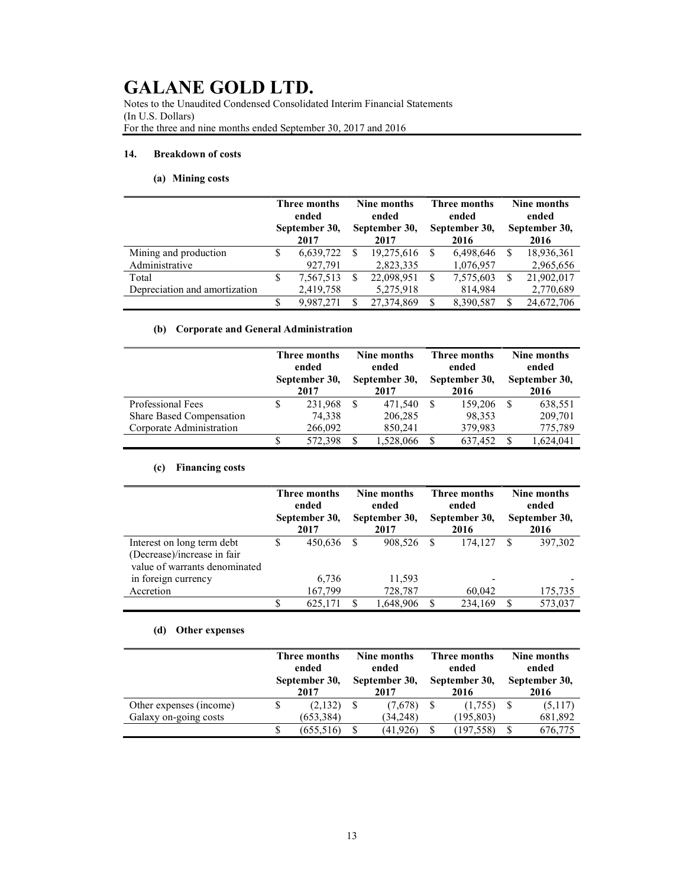Notes to the Unaudited Condensed Consolidated Interim Financial Statements (In U.S. Dollars) For the three and nine months ended September 30, 2017 and 2016

### 14. Breakdown of costs

### (a) Mining costs

|                               | Three months<br>ended<br>September 30,<br>2017 |           |     | Nine months<br>ended<br>September 30,<br>2017 |    | Three months<br>ended<br>September 30,<br>2016 | Nine months<br>ended<br>September 30,<br>2016 |            |  |
|-------------------------------|------------------------------------------------|-----------|-----|-----------------------------------------------|----|------------------------------------------------|-----------------------------------------------|------------|--|
| Mining and production         |                                                | 6,639,722 | -S  | 19,275,616                                    |    | 6,498,646                                      |                                               | 18,936,361 |  |
| Administrative                |                                                | 927,791   |     | 2,823,335                                     |    | 1,076,957                                      |                                               | 2,965,656  |  |
| Total                         | S                                              | 7,567,513 | \$. | 22,098,951                                    | -S | 7,575,603                                      |                                               | 21,902,017 |  |
| Depreciation and amortization |                                                | 2,419,758 |     | 5,275,918                                     |    | 814,984                                        |                                               | 2,770,689  |  |
|                               | S                                              | 9.987.271 | S   | 27,374,869                                    | S  | 8.390.587                                      |                                               | 24,672,706 |  |

### (b) Corporate and General Administration

|                          |   | Three months<br>ended<br>September 30,<br>2017 |    | Nine months<br>ended<br>September 30,<br>2017 |    | Three months<br>ended<br>September 30,<br>2016 |  | Nine months<br>ended<br>September 30,<br>2016 |  |
|--------------------------|---|------------------------------------------------|----|-----------------------------------------------|----|------------------------------------------------|--|-----------------------------------------------|--|
| Professional Fees        |   | 231.968                                        | -S | 471.540                                       | -S | 159,206                                        |  | 638,551                                       |  |
| Share Based Compensation |   | 74,338                                         |    | 206,285                                       |    | 98,353                                         |  | 209,701                                       |  |
| Corporate Administration |   | 266,092                                        |    | 850,241                                       |    | 379,983                                        |  | 775,789                                       |  |
|                          | S | 572,398                                        |    | 1,528,066                                     |    | 637,452                                        |  | 1,624,041                                     |  |

### (c) Financing costs

|                                                                                            | Three months<br>ended<br>September 30,<br>2017 |                  |   | Nine months<br>ended<br>September 30,<br>2017 |  | <b>Three months</b><br>ended<br>September 30,<br>2016 |   | Nine months<br>ended<br>September 30,<br>2016 |
|--------------------------------------------------------------------------------------------|------------------------------------------------|------------------|---|-----------------------------------------------|--|-------------------------------------------------------|---|-----------------------------------------------|
| Interest on long term debt<br>(Decrease)/increase in fair<br>value of warrants denominated | S                                              | 450,636          | S | 908.526                                       |  | 174,127                                               | S | 397,302                                       |
| in foreign currency<br>Accretion                                                           |                                                | 6,736<br>167,799 |   | 11,593<br>728,787                             |  | 60,042                                                |   | 175,735                                       |
|                                                                                            |                                                | 625,171          |   | 1,648,906                                     |  | 234,169                                               |   | 573,037                                       |

### (d) Other expenses

|                         | Three months<br>ended<br>September 30, |            |   | Nine months<br>ended<br>September 30, | Three months<br>ended<br>September 30, | Nine months<br>ended<br>September 30, |         |
|-------------------------|----------------------------------------|------------|---|---------------------------------------|----------------------------------------|---------------------------------------|---------|
|                         |                                        | 2017       |   | 2017                                  | 2016                                   |                                       | 2016    |
| Other expenses (income) |                                        | (2,132)    | S | (7,678)                               | (1,755)                                |                                       | (5,117) |
| Galaxy on-going costs   |                                        | (653, 384) |   | (34,248)                              | (195, 803)                             |                                       | 681,892 |
|                         |                                        | (655, 516) |   | (41, 926)                             | (197, 558)                             |                                       | 676,775 |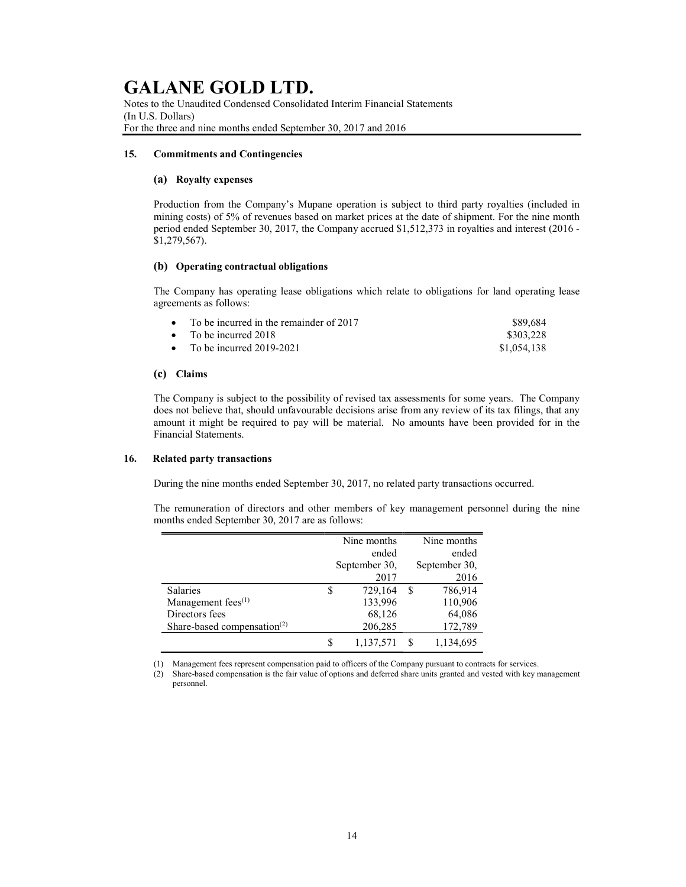Notes to the Unaudited Condensed Consolidated Interim Financial Statements (In U.S. Dollars) For the three and nine months ended September 30, 2017 and 2016

### 15. Commitments and Contingencies

### (a) Royalty expenses

Production from the Company's Mupane operation is subject to third party royalties (included in mining costs) of 5% of revenues based on market prices at the date of shipment. For the nine month period ended September 30, 2017, the Company accrued \$1,512,373 in royalties and interest (2016 - \$1,279,567).

### (b) Operating contractual obligations

The Company has operating lease obligations which relate to obligations for land operating lease agreements as follows:

| • To be incurred in the remainder of $2017$ | \$89.684    |
|---------------------------------------------|-------------|
| • To be incurred $2018$                     | \$303.228   |
| • To be incurred $2019-2021$                | \$1,054,138 |

### (c) Claims

The Company is subject to the possibility of revised tax assessments for some years. The Company does not believe that, should unfavourable decisions arise from any review of its tax filings, that any amount it might be required to pay will be material. No amounts have been provided for in the Financial Statements.

### 16. Related party transactions

During the nine months ended September 30, 2017, no related party transactions occurred.

The remuneration of directors and other members of key management personnel during the nine months ended September 30, 2017 are as follows:

|                                                      |   | Nine months   |   | Nine months   |
|------------------------------------------------------|---|---------------|---|---------------|
|                                                      |   | ended         |   | ended         |
|                                                      |   | September 30, |   | September 30, |
|                                                      |   | 2017          |   | 2016          |
| <b>Salaries</b>                                      | S | 729,164       | S | 786,914       |
| Management fees <sup>(1)</sup>                       |   | 133,996       |   | 110,906       |
| Directors fees                                       |   | 68,126        |   | 64,086        |
| Share-based compensation <sup><math>(2)</math></sup> |   | 206,285       |   | 172,789       |
|                                                      | S | 1,137,571     |   | 1,134,695     |

(1) Management fees represent compensation paid to officers of the Company pursuant to contracts for services.

<sup>(2)</sup> Share-based compensation is the fair value of options and deferred share units granted and vested with key management personnel.